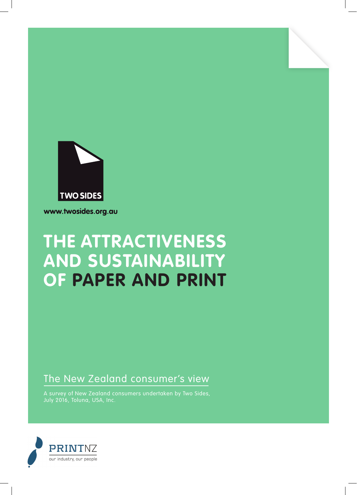

www.twosides.org.au

# **THE ATTRACTIVENESS AND SUSTAINABILITY OF PAPER AND PRINT**

### The New Zealand consumer's view

A survey of New Zealand consumers undertaken by Two Sides, July 2016, Toluna, USA, Inc.

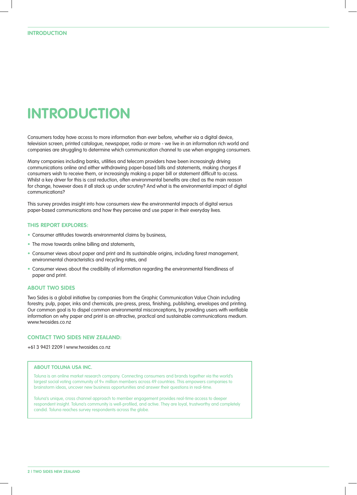## **INTRODUCTION**

Consumers today have access to more information than ever before, whether via a digital device, television screen, printed catalogue, newspaper, radio or more - we live in an information rich world and companies are struggling to determine which communication channel to use when engaging consumers.

Many companies including banks, utilities and telecom providers have been increasingly driving communications online and either withdrawing paper-based bills and statements, making charges if consumers wish to receive them, or increasingly making a paper bill or statement difficult to access. Whilst a key driver for this is cost reduction, often environmental benefits are cited as the main reason for change, however does it all stack up under scrutiny? And what is the environmental impact of digital communications?

This survey provides insight into how consumers view the environmental impacts of digital versus paper-based communications and how they perceive and use paper in their everyday lives.

#### **THIS REPORT EXPLORES:**

- Consumer attitudes towards environmental claims by business,
- The move towards online billing and statements,
- Consumer views about paper and print and its sustainable origins, including forest management, environmental characteristics and recycling rates, and
- Consumer views about the credibility of information regarding the environmental friendliness of paper and print.

#### **ABOUT TWO SIDES**

Two Sides is a global initiative by companies from the Graphic Communication Value Chain including forestry, pulp, paper, inks and chemicals, pre-press, press, finishing, publishing, envelopes and printing. Our common goal is to dispel common environmental misconceptions, by providing users with verifiable information on why paper and print is an attractive, practical and sustainable communications medium. www.twosides.co.nz

#### **CONTACT TWO SIDES NEW ZEALAND:**

+61 3 9421 2209 | www.twosides.co.nz

#### **ABOUT TOLUNA USA INC.**

Toluna is an online market research company. Connecting consumers and brands together via the world's largest social voting community of 9+ million members across 49 countries. This empowers companies to brainstorm ideas, uncover new business opportunities and answer their questions in real-time.

Toluna's unique, cross channel approach to member engagement provides real-time access to deeper respondent insight. Toluna's community is well-profiled, and active. They are loyal, trustworthy and completely candid. Toluna reaches survey respondents across the globe.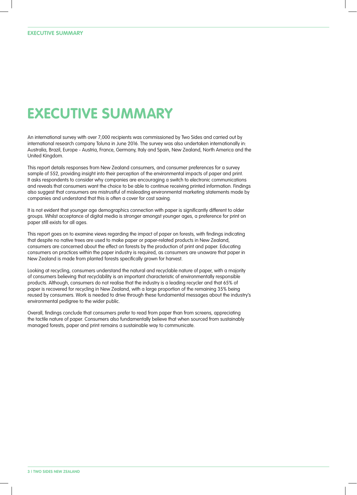# **EXECUTIVE SUMMARY**

An international survey with over 7,000 recipients was commissioned by Two Sides and carried out by international research company Toluna in June 2016. The survey was also undertaken internationally in: Australia, Brazil, Europe - Austria, France, Germany, Italy and Spain, New Zealand, North America and the United Kingdom.

This report details responses from New Zealand consumers, and consumer preferences for a survey sample of 552, providing insight into their perception of the environmental impacts of paper and print. It asks respondents to consider why companies are encouraging a switch to electronic communications and reveals that consumers want the choice to be able to continue receiving printed information. Findings also suggest that consumers are mistrustful of misleading environmental marketing statements made by companies and understand that this is often a cover for cost saving.

It is not evident that younger age demographics connection with paper is significantly different to older groups. Whilst acceptance of digital media is stronger amongst younger ages, a preference for print on paper still exists for all ages.

This report goes on to examine views regarding the impact of paper on forests, with findings indicating that despite no native trees are used to make paper or paper-related products in New Zealand, consumers are concerned about the effect on forests by the production of print and paper. Educating consumers on practices within the paper industry is required, as consumers are unaware that paper in New Zealand is made from planted forests specifically grown for harvest.

Looking at recycling, consumers understand the natural and recyclable nature of paper, with a majority of consumers believing that recyclability is an important characteristic of environmentally responsible products. Although, consumers do not realise that the industry is a leading recycler and that 65% of paper is recovered for recycling in New Zealand, with a large proportion of the remaining 35% being reused by consumers. Work is needed to drive through these fundamental messages about the industry's environmental pedigree to the wider public.

Overall, findings conclude that consumers prefer to read from paper than from screens, appreciating the tactile nature of paper. Consumers also fundamentally believe that when sourced from sustainably managed forests, paper and print remains a sustainable way to communicate.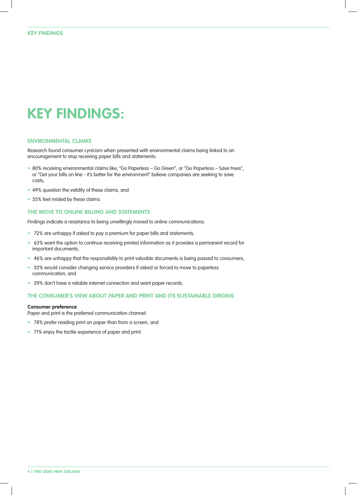### **KEY FINDINGS:**

#### **ENVIRONMENTAL CLAIMS**

Research found consumer cynicism when presented with environmental claims being linked to an encouragement to stop receiving paper bills and statements:

- 80% receiving environmental claims like; "Go Paperless Go Green", or "Go Paperless Save trees", or "Get your bills on line - it's better for the environment" believe companies are seeking to save costs,
- 49% question the validity of these claims, and
- 35% feel misled by these claims.

#### **THE MOVE TO ONLINE BILLING AND STATEMENTS**

Findings indicate a resistance to being unwillingly moved to online communications:

- 72% are unhappy if asked to pay a premium for paper bills and statements,
- 63% want the option to continue receiving printed information as it provides a permanent record for important documents,
- 46% are unhappy that the responsibility to print valuable documents is being passed to consumers,
- 32% would consider changing service providers if asked or forced to move to paperless communication, and
- 29% don't have a reliable internet connection and want paper records.

#### **THE CONSUMER'S VIEW ABOUT PAPER AND PRINT AND ITS SUSTAINABLE ORIGINS**

#### **Consumer preference**

Paper and print is the preferred communication channel:

- 78% prefer reading print on paper than from a screen, and
- 71% enjoy the tactile experience of paper and print.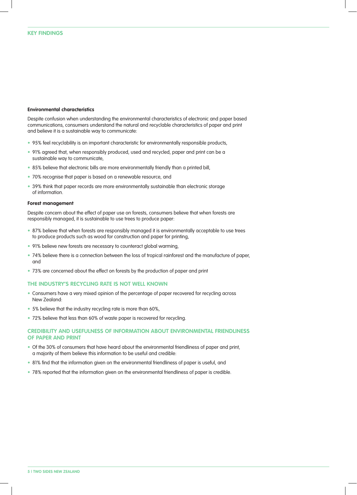#### **Environmental characteristics**

Despite confusion when understanding the environmental characteristics of electronic and paper based communications, consumers understand the natural and recyclable characteristics of paper and print and believe it is a sustainable way to communicate:

- 95% feel recyclability is an important characteristic for environmentally responsible products,
- 91% agreed that, when responsibly produced, used and recycled, paper and print can be a sustainable way to communicate,
- 85% believe that electronic bills are more environmentally friendly than a printed bill,
- 70% recognise that paper is based on a renewable resource, and
- 39% think that paper records are more environmentally sustainable than electronic storage of information.

#### **Forest management**

Despite concern about the effect of paper use on forests, consumers believe that when forests are responsibly managed, it is sustainable to use trees to produce paper:

- 87% believe that when forests are responsibly managed it is environmentally acceptable to use trees to produce products such as wood for construction and paper for printing,
- 91% believe new forests are necessary to counteract global warming,
- 74% believe there is a connection between the loss of tropical rainforest and the manufacture of paper, and
- 73% are concerned about the effect on forests by the production of paper and print

#### **THE INDUSTRY'S RECYCLING RATE IS NOT WELL KNOWN**

- Consumers have a very mixed opinion of the percentage of paper recovered for recycling across New Zealand:
- 5% believe that the industry recycling rate is more than 60%,
- 72% believe that less than 60% of waste paper is recovered for recycling.

#### **CREDIBILITY AND USEFULNESS OF INFORMATION ABOUT ENVIRONMENTAL FRIENDLINESS OF PAPER AND PRINT**

- Of the 30% of consumers that have heard about the environmental friendliness of paper and print, a majority of them believe this information to be useful and credible:
- 81% find that the information given on the environmental friendliness of paper is useful, and
- 78% reported that the information given on the environmental friendliness of paper is credible.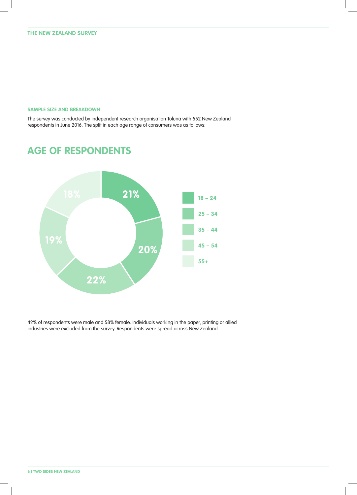#### **SAMPLE SIZE AND BREAKDOWN**

The survey was conducted by independent research organisation Toluna with 552 New Zealand respondents in June 2016. The split in each age range of consumers was as follows:



### **AGE OF RESPONDENTS**

42% of respondents were male and 58% female. Individuals working in the paper, printing or allied industries were excluded from the survey. Respondents were spread across New Zealand.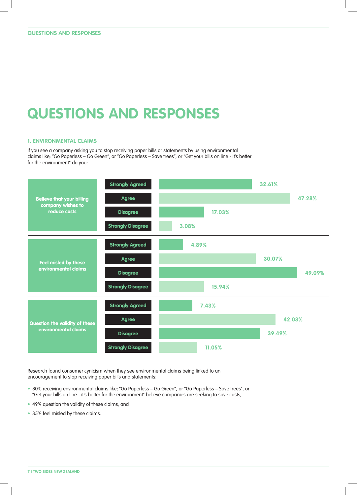## **QUESTIONS AND RESPONSES**

#### **1. ENVIRONMENTAL CLAIMS**

If you see a company asking you to stop receiving paper bills or statements by using environmental claims like; "Go Paperless – Go Green", or "Go Paperless – Save trees", or "Get your bills on line - it's better for the environment" do you:



Research found consumer cynicism when they see environmental claims being linked to an encouragement to stop receiving paper bills and statements:

- 80% receiving environmental claims like; "Go Paperless Go Green", or "Go Paperless Save trees", or "Get your bills on line - it's better for the environment" believe companies are seeking to save costs,
- 49% question the validity of these claims, and
- 35% feel misled by these claims.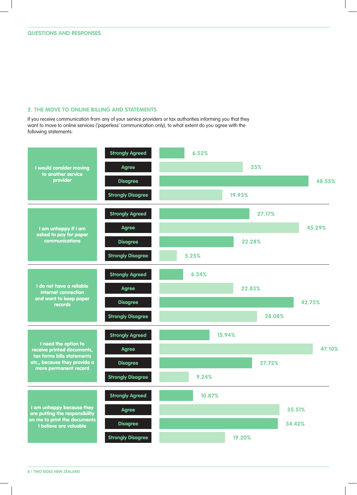#### **2. THE MOVE TO ONLINE BILLING AND STATEMENTS**

If you receive communication from any of your service providers or tax authorities informing you that they want to move to online services ('paperless' communication only), to what extent do you agree with the following statements:

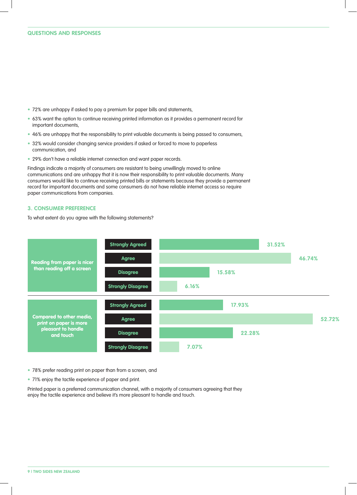- 72% are unhappy if asked to pay a premium for paper bills and statements,
- 63% want the option to continue receiving printed information as it provides a permanent record for important documents,
- 46% are unhappy that the responsibility to print valuable documents is being passed to consumers,
- 32% would consider changing service providers if asked or forced to move to paperless communication, and
- 29% don't have a reliable internet connection and want paper records.

Findings indicate a majority of consumers are resistant to being unwillingly moved to online communications and are unhappy that it is now their responsibility to print valuable documents. Many consumers would like to continue receiving printed bills or statements because they provide a permanent record for important documents and some consumers do not have reliable internet access so require paper communications from companies.

#### **3. CONSUMER PREFERENCE**

To what extent do you agree with the following statements?



• 78% prefer reading print on paper than from a screen, and

• 71% enjoy the tactile experience of paper and print.

Printed paper is a preferred communication channel, with a majority of consumers agreeing that they enjoy the tactile experience and believe it's more pleasant to handle and touch.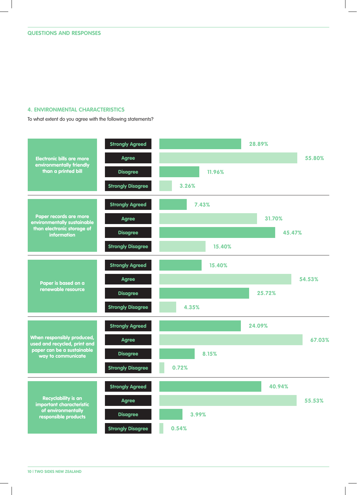#### **4. ENVIRONMENTAL CHARACTERISTICS**

To what extent do you agree with the following statements?

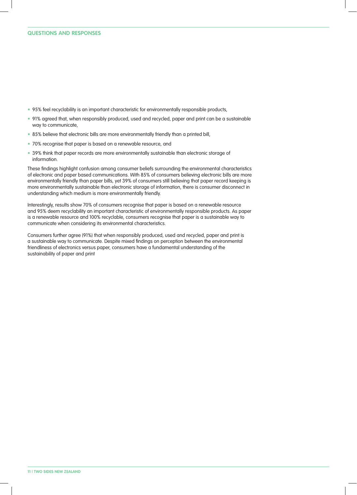- 95% feel recyclability is an important characteristic for environmentally responsible products,
- 91% agreed that, when responsibly produced, used and recycled, paper and print can be a sustainable way to communicate,
- 85% believe that electronic bills are more environmentally friendly than a printed bill,
- 70% recognise that paper is based on a renewable resource, and
- 39% think that paper records are more environmentally sustainable than electronic storage of information.

These findings highlight confusion among consumer beliefs surrounding the environmental characteristics of electronic and paper based communications. With 85% of consumers believing electronic bills are more environmentally friendly than paper bills, yet 39% of consumers still believing that paper record keeping is more environmentally sustainable than electronic storage of information, there is consumer disconnect in understanding which medium is more environmentally friendly.

Interestingly, results show 70% of consumers recognise that paper is based on a renewable resource and 95% deem recyclability an important characteristic of environmentally responsible products. As paper is a renewable resource and 100% recyclable, consumers recognise that paper is a sustainable way to communicate when considering its environmental characteristics.

Consumers further agree (91%) that when responsibly produced, used and recycled, paper and print is a sustainable way to communicate. Despite mixed findings on perception between the environmental friendliness of electronics versus paper, consumers have a fundamental understanding of the sustainability of paper and print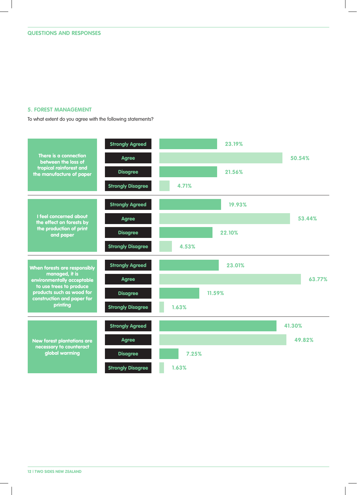#### **5. FOREST MANAGEMENT**

To what extent do you agree with the following statements?

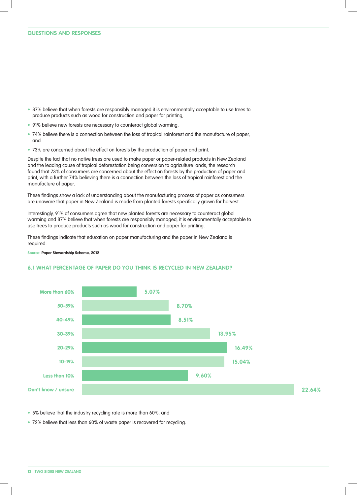- 87% believe that when forests are responsibly managed it is environmentally acceptable to use trees to produce products such as wood for construction and paper for printing,
- 91% believe new forests are necessary to counteract global warming,
- 74% believe there is a connection between the loss of tropical rainforest and the manufacture of paper, and
- 73% are concerned about the effect on forests by the production of paper and print.

Despite the fact that no native trees are used to make paper or paper-related products in New Zealand and the leading cause of tropical deforestation being conversion to agriculture lands, the research found that 73% of consumers are concerned about the effect on forests by the production of paper and print, with a further 74% believing there is a connection between the loss of tropical rainforest and the manufacture of paper.

These findings show a lack of understanding about the manufacturing process of paper as consumers are unaware that paper in New Zealand is made from planted forests specifically grown for harvest.

Interestingly, 91% of consumers agree that new planted forests are necessary to counteract global warming and 87% believe that when forests are responsibly managed, it is environmentally acceptable to use trees to produce products such as wood for construction and paper for printing.

These findings indicate that education on paper manufacturing and the paper in New Zealand is required.

**Source: Paper Stewardship Scheme, 2012**

#### **6.1 WHAT PERCENTAGE OF PAPER DO YOU THINK IS RECYCLED IN NEW ZEALAND?**



• 5% believe that the industry recycling rate is more than 60%, and

• 72% believe that less than 60% of waste paper is recovered for recycling.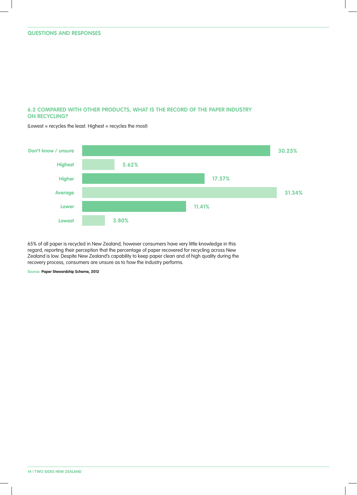#### **6.2 COMPARED WITH OTHER PRODUCTS, WHAT IS THE RECORD OF THE PAPER INDUSTRY ON RECYCLING?**



(Lowest = recycles the least. Highest = recycles the most)

65% of all paper is recycled in New Zealand, however consumers have very little knowledge in this regard, reporting their perception that the percentage of paper recovered for recycling across New Zealand is low. Despite New Zealand's capability to keep paper clean and of high quality during the recovery process, consumers are unsure as to how the industry performs.

**Source: Paper Stewardship Scheme, 2012**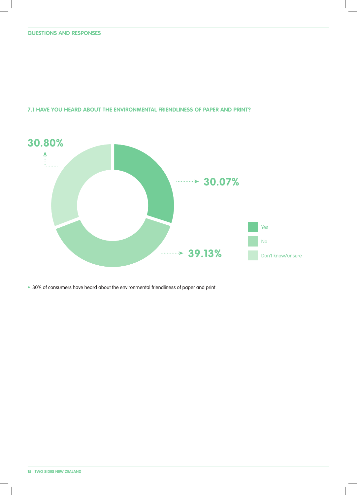**7.1 HAVE YOU HEARD ABOUT THE ENVIRONMENTAL FRIENDLINESS OF PAPER AND PRINT?**



• 30% of consumers have heard about the environmental friendliness of paper and print.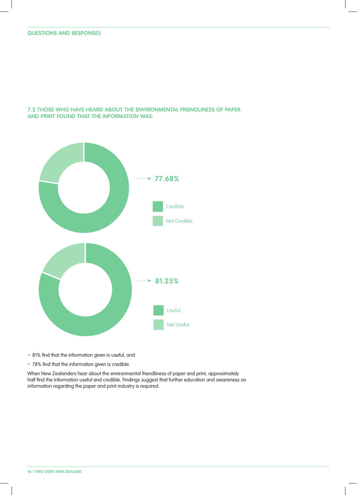**7.2 THOSE WHO HAVE HEARD ABOUT THE ENVIRONMENTAL FRIENDLINESS OF PAPER AND PRINT FOUND THAT THE INFORMATION WAS:**



- 81% find that the information given is useful, and
- 78% find that the information given is credible.

When New Zealanders hear about the environmental friendliness of paper and print, approximately half find the information useful and credible. Findings suggest that further education and awareness on information regarding the paper and print industry is required.